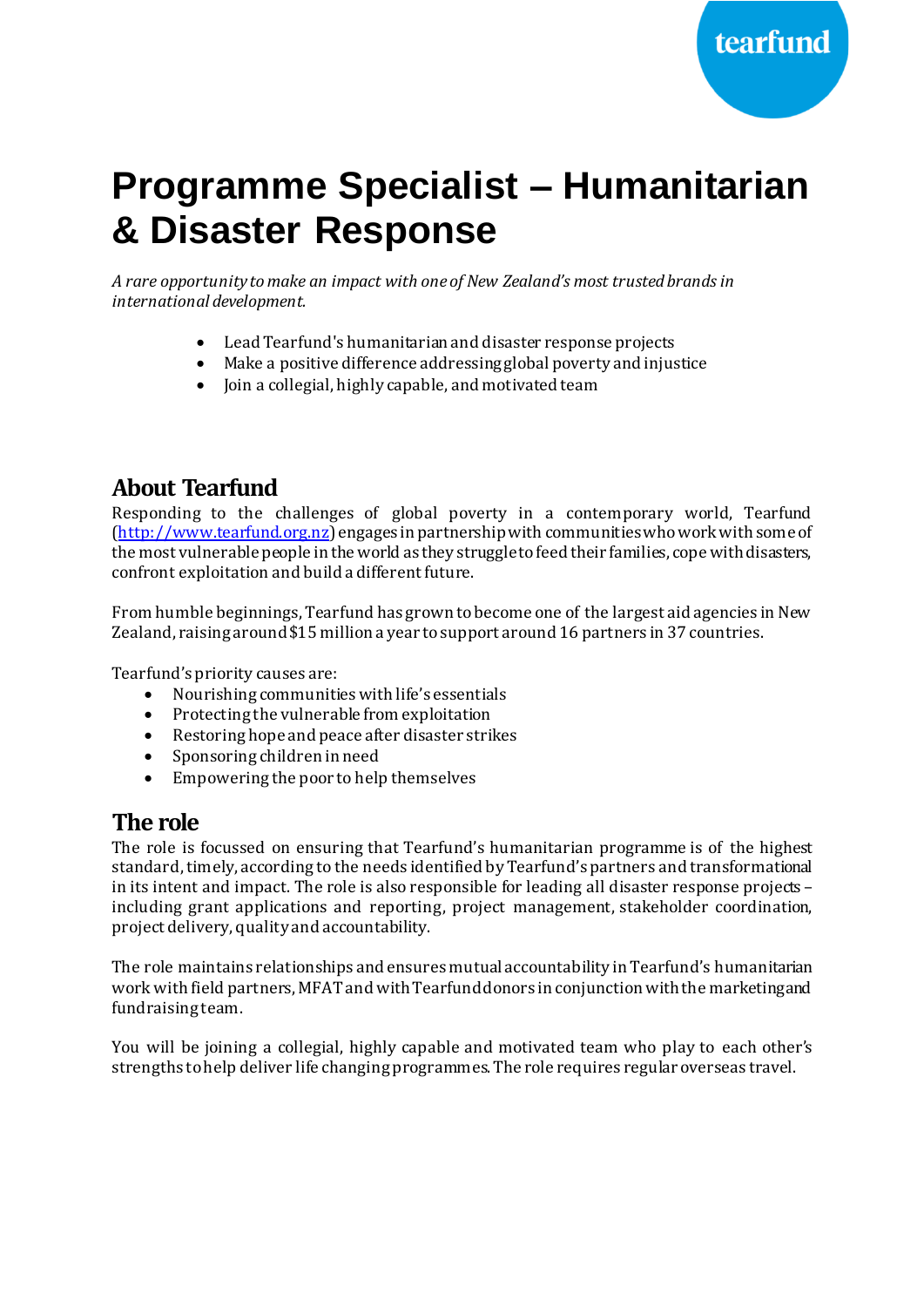# **Programme Specialist – Humanitarian & Disaster Response**

*A rare opportunity to make an impact with one of New Zealand's most trusted brands in international development.*

- Lead Tearfund's humanitarian and disaster response projects
- Make a positive difference addressing global poverty and injustice
- Join a collegial, highly capable, and motivated team

### **About Tearfund**

Responding to the challenges of global poverty in a contemporary world, Tearfund [\(http://www.tearfund.org.nz](http://www.tearfund.org.nz/)) engages in partnership with communities who work with some of the most vulnerable people in the world as they struggle to feed their families, cope with disasters, confront exploitation and build a different future.

From humble beginnings, Tearfund has grown to become one of the largest aid agencies in New Zealand, raising around \$15 million a year to support around 16 partners in 37 countries.

Tearfund's priority causes are:

- Nourishing communities with life's essentials
- Protecting the vulnerable from exploitation
- Restoring hope and peace after disaster strikes
- Sponsoring children in need
- Empowering the poor to help themselves

#### **The role**

The role is focussed on ensuring that Tearfund's humanitarian programme is of the highest standard, timely, according to the needs identified by Tearfund's partners and transformational in its intent and impact. The role is also responsible for leading all disaster response projects – including grant applications and reporting, project management, stakeholder coordination, project delivery, quality and accountability.

The role maintains relationships and ensures mutual accountability in Tearfund's humanitarian work with field partners, MFAT and with Tearfund donors in conjunction with the marketing and fundraising team.

You will be joining a collegial, highly capable and motivated team who play to each other's strengths to help deliver life changing programmes. The role requires regular overseas travel.